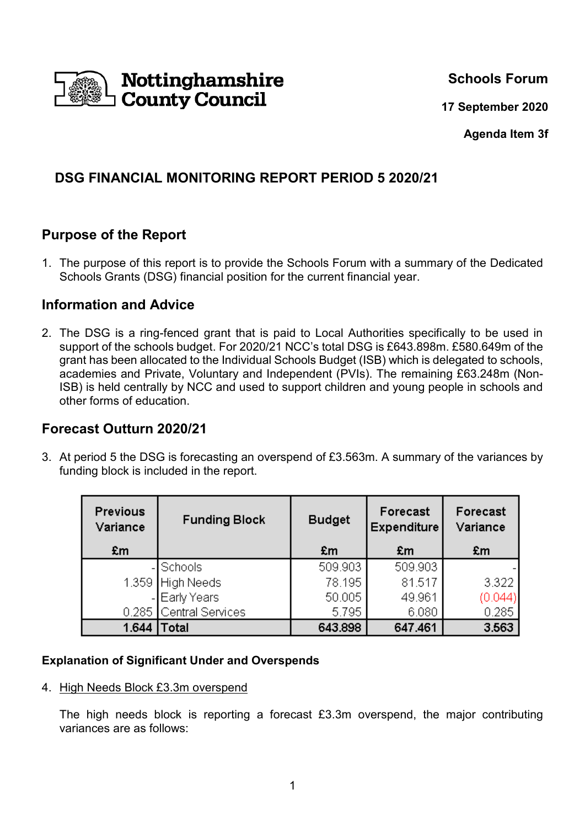

**Schools Forum**

**17 September 2020**

**Agenda Item 3f**

# **DSG FINANCIAL MONITORING REPORT PERIOD 5 2020/21**

## **Purpose of the Report**

1. The purpose of this report is to provide the Schools Forum with a summary of the Dedicated Schools Grants (DSG) financial position for the current financial year.

### **Information and Advice**

2. The DSG is a ring-fenced grant that is paid to Local Authorities specifically to be used in support of the schools budget. For 2020/21 NCC's total DSG is £643.898m. £580.649m of the grant has been allocated to the Individual Schools Budget (ISB) which is delegated to schools, academies and Private, Voluntary and Independent (PVIs). The remaining £63.248m (Non-ISB) is held centrally by NCC and used to support children and young people in schools and other forms of education.

## **Forecast Outturn 2020/21**

3. At period 5 the DSG is forecasting an overspend of £3.563m. A summary of the variances by funding block is included in the report.

| <b>Previous</b><br>Variance | <b>Funding Block</b>   | <b>Budget</b> | Forecast<br>Expenditure | Forecast<br>Variance |  |
|-----------------------------|------------------------|---------------|-------------------------|----------------------|--|
| £m                          |                        | £m            | £m                      | £m                   |  |
|                             | Schools                | 509.903       | 509.903                 |                      |  |
|                             | 1.359 High Needs       | 78.195        | 81.517                  | 3.322                |  |
|                             | Early Years            | 50.005        | 49.961                  | (0.044)              |  |
|                             | 0.285 Central Services | 5.795         | 6.080                   | 0.285                |  |
| 1.644                       | `otal                  | 643.898       | 647.461                 | 3.563                |  |

#### **Explanation of Significant Under and Overspends**

4. High Needs Block £3.3m overspend

The high needs block is reporting a forecast £3.3m overspend, the major contributing variances are as follows: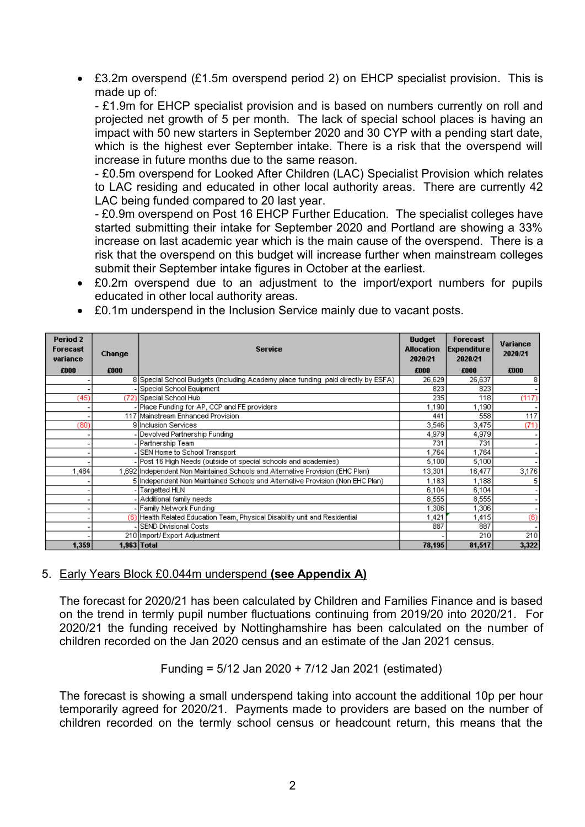• £3.2m overspend (£1.5m overspend period 2) on EHCP specialist provision. This is made up of:

- £1.9m for EHCP specialist provision and is based on numbers currently on roll and projected net growth of 5 per month. The lack of special school places is having an impact with 50 new starters in September 2020 and 30 CYP with a pending start date, which is the highest ever September intake. There is a risk that the overspend will increase in future months due to the same reason.

- £0.5m overspend for Looked After Children (LAC) Specialist Provision which relates to LAC residing and educated in other local authority areas. There are currently 42 LAC being funded compared to 20 last year.

- £0.9m overspend on Post 16 EHCP Further Education. The specialist colleges have started submitting their intake for September 2020 and Portland are showing a 33% increase on last academic year which is the main cause of the overspend. There is a risk that the overspend on this budget will increase further when mainstream colleges submit their September intake figures in October at the earliest.

• £0.2m overspend due to an adjustment to the import/export numbers for pupils educated in other local authority areas.

| Period 2<br>Forecast<br>variance | Change | <b>Service</b>                                                                   | <b>Budget</b><br><b>Allocation</b><br>2020/21 | <b>Forecast</b><br><b>Expenditure</b><br>2020/21 | Variance<br>2020/21 |
|----------------------------------|--------|----------------------------------------------------------------------------------|-----------------------------------------------|--------------------------------------------------|---------------------|
| £000                             | £000   |                                                                                  | £000                                          | £000                                             | £000                |
|                                  |        | 8 Special School Budgets (Including Academy place funding paid directly by ESFA) | 26,629                                        | 26,637                                           | 8                   |
|                                  |        | - Special School Equipment                                                       | 823                                           | 823                                              |                     |
| (45)                             |        | (72) Special School Hub                                                          | 235                                           | 118                                              | (117)               |
|                                  |        | - Place Funding for AP, CCP and FE providers.                                    | 1,190                                         | 1,190                                            |                     |
|                                  |        | 117 Mainstream Enhanced Provision                                                | 441                                           | 558                                              | 117                 |
| (80)                             |        | 9 Inclusion Services                                                             | 3,546                                         | 3,475                                            | (71)                |
|                                  |        | Devolved Partnership Funding                                                     | 4,979                                         | 4,979                                            |                     |
|                                  |        | Partnership Team                                                                 | 731                                           | 731                                              |                     |
|                                  |        | SEN Home to School Transport                                                     | 1,764                                         | 1,764                                            |                     |
|                                  |        | - Post 16 High Needs (outside of special schools and academies)                  | 5,100                                         | 5,100                                            |                     |
| 1,484                            |        | 1,692  Independent Non Maintained Schools and Alternative Provision (EHC Plan)   | 13,301                                        | 16,477                                           | 3,176               |
|                                  |        | 5 Independent Non Maintained Schools and Alternative Provision (Non EHC Plan)    | 1,183                                         | 1,188                                            |                     |
|                                  |        | Targetted HLN                                                                    | 6,104                                         | 6,104                                            |                     |
|                                  |        | Additional family needs                                                          | 8,555                                         | 8,555                                            |                     |
|                                  |        | -  Family Network Funding                                                        | 1,306                                         | 1,306                                            |                     |
|                                  |        | (6) Health Related Education Team, Physical Disability unit and Residential      | 1,421                                         | 1,415                                            | (6)                 |
|                                  |        | <b>ISEND Divisional Costs</b>                                                    | 887                                           | 887                                              |                     |
|                                  |        | 210 Import/ Export Adjustment                                                    |                                               | 210                                              | 210                 |
| 1,359                            |        | $1,963$ Total                                                                    | 78,195                                        | 81,517                                           | 3,322               |

• £0.1m underspend in the Inclusion Service mainly due to vacant posts.

## 5. Early Years Block £0.044m underspend **(see Appendix A)**

The forecast for 2020/21 has been calculated by Children and Families Finance and is based on the trend in termly pupil number fluctuations continuing from 2019/20 into 2020/21. For 2020/21 the funding received by Nottinghamshire has been calculated on the number of children recorded on the Jan 2020 census and an estimate of the Jan 2021 census.

Funding = 
$$
5/12
$$
 Jan 2020 +  $7/12$  Jan 2021 (estimated)

The forecast is showing a small underspend taking into account the additional 10p per hour temporarily agreed for 2020/21. Payments made to providers are based on the number of children recorded on the termly school census or headcount return, this means that the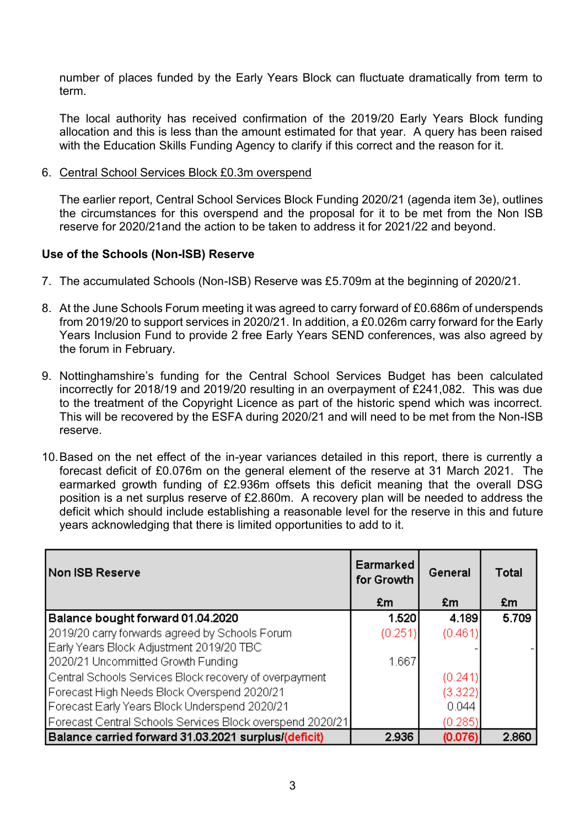number of places funded by the Early Years Block can fluctuate dramatically from term to term.

The local authority has received confirmation of the 2019/20 Early Years Block funding allocation and this is less than the amount estimated for that year. A query has been raised with the Education Skills Funding Agency to clarify if this correct and the reason for it.

6. Central School Services Block £0.3m overspend

The earlier report, Central School Services Block Funding 2020/21 (agenda item 3e), outlines the circumstances for this overspend and the proposal for it to be met from the Non ISB reserve for 2020/21and the action to be taken to address it for 2021/22 and beyond.

#### **Use of the Schools (Non-ISB) Reserve**

- 7. The accumulated Schools (Non-ISB) Reserve was £5.709m at the beginning of 2020/21.
- 8. At the June Schools Forum meeting it was agreed to carry forward of £0.686m of underspends from 2019/20 to support services in 2020/21. In addition, a £0.026m carry forward for the Early Years Inclusion Fund to provide 2 free Early Years SEND conferences, was also agreed by the forum in February.
- 9. Nottinghamshire's funding for the Central School Services Budget has been calculated incorrectly for 2018/19 and 2019/20 resulting in an overpayment of £241,082. This was due to the treatment of the Copyright Licence as part of the historic spend which was incorrect. This will be recovered by the ESFA during 2020/21 and will need to be met from the Non-ISB reserve.
- 10.Based on the net effect of the in-year variances detailed in this report, there is currently a forecast deficit of £0.076m on the general element of the reserve at 31 March 2021. The earmarked growth funding of £2.936m offsets this deficit meaning that the overall DSG position is a net surplus reserve of £2.860m. A recovery plan will be needed to address the deficit which should include establishing a reasonable level for the reserve in this and future years acknowledging that there is limited opportunities to add to it.

| <b>Non ISB Reserve</b>                                    | Earmarked<br>for Growth | General | <b>Total</b> |
|-----------------------------------------------------------|-------------------------|---------|--------------|
|                                                           | £m                      | £m      | £m           |
| Balance bought forward 01.04.2020                         | 1.520                   | 4.189   | 5.709        |
| 2019/20 carry forwards agreed by Schools Forum            | (0.251)                 | (0.461) |              |
| Early Years Block Adjustment 2019/20 TBC                  |                         |         |              |
| 2020/21 Uncommitted Growth Funding                        | 1.667                   |         |              |
| Central Schools Services Block recovery of overpayment    |                         | (0.241) |              |
| Forecast High Needs Block Overspend 2020/21               |                         | (3.322) |              |
| Forecast Early Years Block Underspend 2020/21             |                         | 0.044   |              |
| Forecast Central Schools Services Block overspend 2020/21 |                         | (0.285) |              |
| Balance carried forward 31.03.2021 surplus/(deficit)      | 2.936                   | (0.076) | 2.860        |